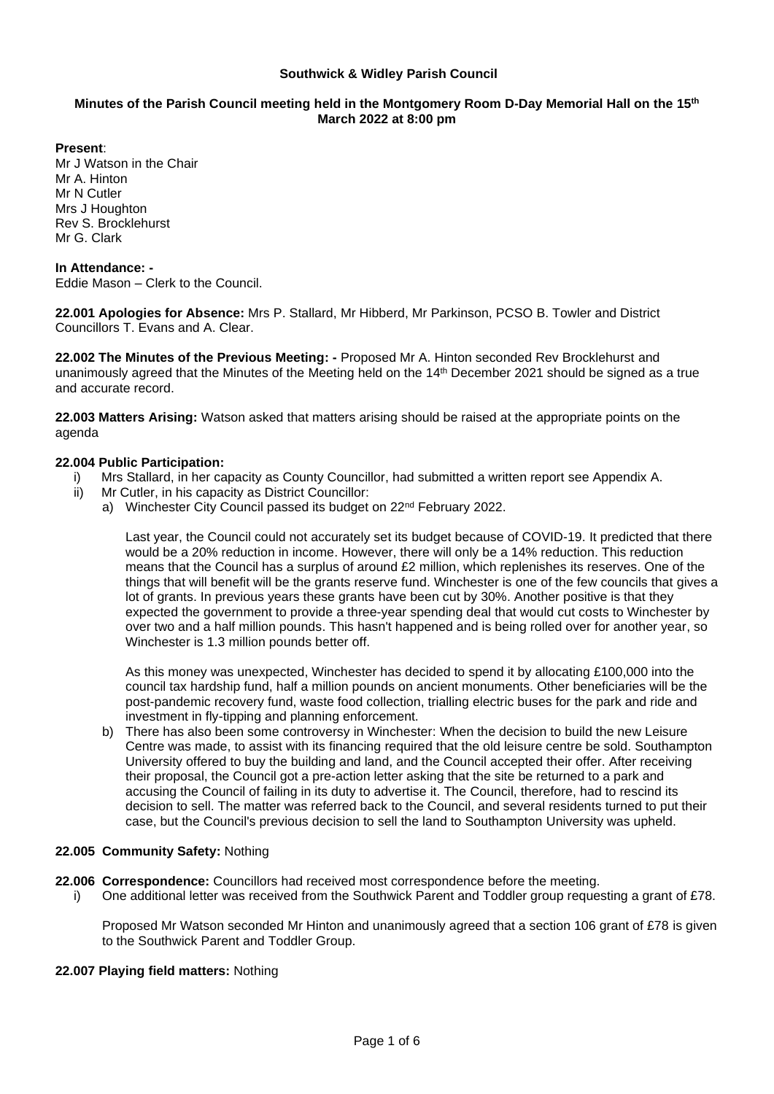#### **Southwick & Widley Parish Council**

# **Minutes of the Parish Council meeting held in the Montgomery Room D-Day Memorial Hall on the 15 th March 2022 at 8:00 pm**

**Present**:

Mr J Watson in the Chair Mr A. Hinton Mr N Cutler Mrs J Houghton Rev S. Brocklehurst Mr G. Clark

**In Attendance: -** Eddie Mason – Clerk to the Council.

**22.001 Apologies for Absence:** Mrs P. Stallard, Mr Hibberd, Mr Parkinson, PCSO B. Towler and District Councillors T. Evans and A. Clear.

**22.002 The Minutes of the Previous Meeting: -** Proposed Mr A. Hinton seconded Rev Brocklehurst and unanimously agreed that the Minutes of the Meeting held on the 14<sup>th</sup> December 2021 should be signed as a true and accurate record.

**22.003 Matters Arising:** Watson asked that matters arising should be raised at the appropriate points on the agenda

# **22.004 Public Participation:**

- i) Mrs Stallard, in her capacity as County Councillor, had submitted a written report see Appendix A.
- ii) Mr Cutler, in his capacity as District Councillor:
	- a) Winchester City Council passed its budget on 22<sup>nd</sup> February 2022.

Last year, the Council could not accurately set its budget because of COVID-19. It predicted that there would be a 20% reduction in income. However, there will only be a 14% reduction. This reduction means that the Council has a surplus of around £2 million, which replenishes its reserves. One of the things that will benefit will be the grants reserve fund. Winchester is one of the few councils that gives a lot of grants. In previous years these grants have been cut by 30%. Another positive is that they expected the government to provide a three-year spending deal that would cut costs to Winchester by over two and a half million pounds. This hasn't happened and is being rolled over for another year, so Winchester is 1.3 million pounds better off.

As this money was unexpected, Winchester has decided to spend it by allocating £100,000 into the council tax hardship fund, half a million pounds on ancient monuments. Other beneficiaries will be the post-pandemic recovery fund, waste food collection, trialling electric buses for the park and ride and investment in fly-tipping and planning enforcement.

b) There has also been some controversy in Winchester: When the decision to build the new Leisure Centre was made, to assist with its financing required that the old leisure centre be sold. Southampton University offered to buy the building and land, and the Council accepted their offer. After receiving their proposal, the Council got a pre-action letter asking that the site be returned to a park and accusing the Council of failing in its duty to advertise it. The Council, therefore, had to rescind its decision to sell. The matter was referred back to the Council, and several residents turned to put their case, but the Council's previous decision to sell the land to Southampton University was upheld.

# **22.005 Community Safety:** Nothing

**22.006 Correspondence:** Councillors had received most correspondence before the meeting.

i) One additional letter was received from the Southwick Parent and Toddler group requesting a grant of £78.

Proposed Mr Watson seconded Mr Hinton and unanimously agreed that a section 106 grant of £78 is given to the Southwick Parent and Toddler Group.

#### **22.007 Playing field matters:** Nothing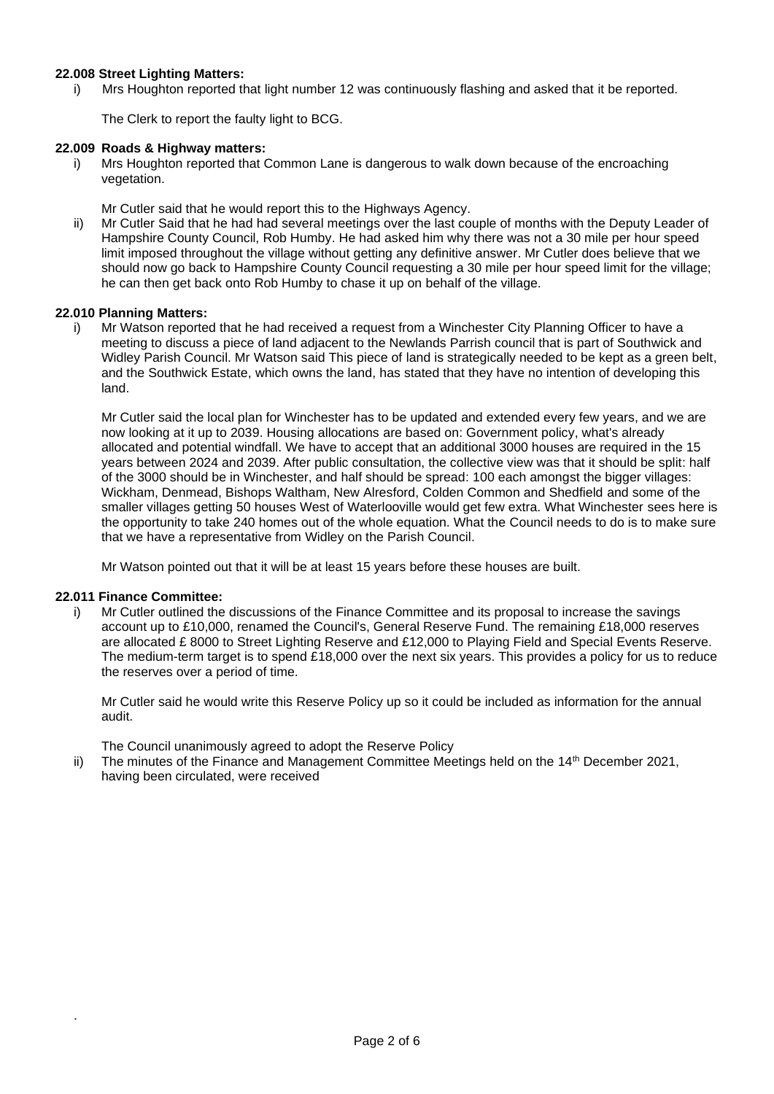## **22.008 Street Lighting Matters:**

i) Mrs Houghton reported that light number 12 was continuously flashing and asked that it be reported.

The Clerk to report the faulty light to BCG.

#### **22.009 Roads & Highway matters:**

i) Mrs Houghton reported that Common Lane is dangerous to walk down because of the encroaching vegetation.

Mr Cutler said that he would report this to the Highways Agency.

ii) Mr Cutler Said that he had had several meetings over the last couple of months with the Deputy Leader of Hampshire County Council, Rob Humby. He had asked him why there was not a 30 mile per hour speed limit imposed throughout the village without getting any definitive answer. Mr Cutler does believe that we should now go back to Hampshire County Council requesting a 30 mile per hour speed limit for the village; he can then get back onto Rob Humby to chase it up on behalf of the village.

#### **22.010 Planning Matters:**

i) Mr Watson reported that he had received a request from a Winchester City Planning Officer to have a meeting to discuss a piece of land adjacent to the Newlands Parrish council that is part of Southwick and Widley Parish Council. Mr Watson said This piece of land is strategically needed to be kept as a green belt, and the Southwick Estate, which owns the land, has stated that they have no intention of developing this land.

Mr Cutler said the local plan for Winchester has to be updated and extended every few years, and we are now looking at it up to 2039. Housing allocations are based on: Government policy, what's already allocated and potential windfall. We have to accept that an additional 3000 houses are required in the 15 years between 2024 and 2039. After public consultation, the collective view was that it should be split: half of the 3000 should be in Winchester, and half should be spread: 100 each amongst the bigger villages: Wickham, Denmead, Bishops Waltham, New Alresford, Colden Common and Shedfield and some of the smaller villages getting 50 houses West of Waterlooville would get few extra. What Winchester sees here is the opportunity to take 240 homes out of the whole equation. What the Council needs to do is to make sure that we have a representative from Widley on the Parish Council.

Mr Watson pointed out that it will be at least 15 years before these houses are built.

#### **22.011 Finance Committee:**

.

i) Mr Cutler outlined the discussions of the Finance Committee and its proposal to increase the savings account up to £10,000, renamed the Council's, General Reserve Fund. The remaining £18,000 reserves are allocated £ 8000 to Street Lighting Reserve and £12,000 to Playing Field and Special Events Reserve. The medium-term target is to spend £18,000 over the next six years. This provides a policy for us to reduce the reserves over a period of time.

Mr Cutler said he would write this Reserve Policy up so it could be included as information for the annual audit.

The Council unanimously agreed to adopt the Reserve Policy

ii) The minutes of the Finance and Management Committee Meetings held on the 14th December 2021, having been circulated, were received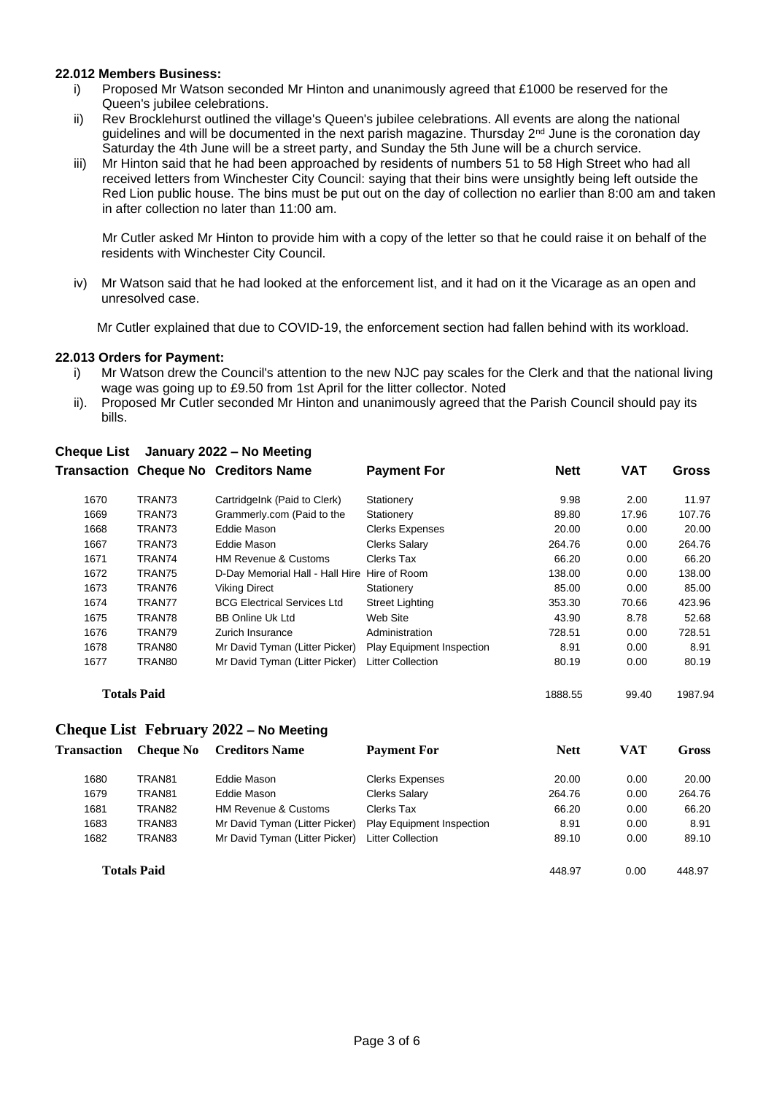#### **22.012 Members Business:**

- i) Proposed Mr Watson seconded Mr Hinton and unanimously agreed that £1000 be reserved for the Queen's jubilee celebrations.
- ii) Rev Brocklehurst outlined the village's Queen's jubilee celebrations. All events are along the national guidelines and will be documented in the next parish magazine. Thursday 2<sup>nd</sup> June is the coronation day Saturday the 4th June will be a street party, and Sunday the 5th June will be a church service.
- iii) Mr Hinton said that he had been approached by residents of numbers 51 to 58 High Street who had all received letters from Winchester City Council: saying that their bins were unsightly being left outside the Red Lion public house. The bins must be put out on the day of collection no earlier than 8:00 am and taken in after collection no later than 11:00 am.

Mr Cutler asked Mr Hinton to provide him with a copy of the letter so that he could raise it on behalf of the residents with Winchester City Council.

iv) Mr Watson said that he had looked at the enforcement list, and it had on it the Vicarage as an open and unresolved case.

Mr Cutler explained that due to COVID-19, the enforcement section had fallen behind with its workload.

#### **22.013 Orders for Payment:**

- i) Mr Watson drew the Council's attention to the new NJC pay scales for the Clerk and that the national living wage was going up to £9.50 from 1st April for the litter collector. Noted
- ii). Proposed Mr Cutler seconded Mr Hinton and unanimously agreed that the Parish Council should pay its bills.

|                    |        | <b>Transaction Cheque No Creditors Name</b>  | <b>Payment For</b>               | <b>Nett</b> | <b>VAT</b> | <b>Gross</b> |
|--------------------|--------|----------------------------------------------|----------------------------------|-------------|------------|--------------|
| 1670               | TRAN73 | CartridgeInk (Paid to Clerk)                 | Stationery                       | 9.98        | 2.00       | 11.97        |
| 1669               | TRAN73 | Grammerly.com (Paid to the                   | Stationery                       | 89.80       | 17.96      | 107.76       |
| 1668               | TRAN73 | Eddie Mason                                  | <b>Clerks Expenses</b>           | 20.00       | 0.00       | 20.00        |
| 1667               | TRAN73 | Eddie Mason                                  | <b>Clerks Salary</b>             | 264.76      | 0.00       | 264.76       |
| 1671               | TRAN74 | <b>HM Revenue &amp; Customs</b>              | <b>Clerks Tax</b>                | 66.20       | 0.00       | 66.20        |
| 1672               | TRAN75 | D-Day Memorial Hall - Hall Hire Hire of Room |                                  | 138.00      | 0.00       | 138.00       |
| 1673               | TRAN76 | <b>Viking Direct</b>                         | Stationery                       | 85.00       | 0.00       | 85.00        |
| 1674               | TRAN77 | <b>BCG Electrical Services Ltd</b>           | <b>Street Lighting</b>           | 353.30      | 70.66      | 423.96       |
| 1675               | TRAN78 | <b>BB Online Uk Ltd</b>                      | Web Site                         | 43.90       | 8.78       | 52.68        |
| 1676               | TRAN79 | Zurich Insurance                             | Administration                   | 728.51      | 0.00       | 728.51       |
| 1678               | TRAN80 | Mr David Tyman (Litter Picker)               | <b>Play Equipment Inspection</b> | 8.91        | 0.00       | 8.91         |
| 1677               | TRAN80 | Mr David Tyman (Litter Picker)               | Litter Collection                | 80.19       | 0.00       | 80.19        |
| <b>Totals Paid</b> |        |                                              |                                  | 1888.55     | 99.40      | 1987.94      |

# **Cheque List January 2022 – No Meeting**

**Cheque List February 2022 – No Meeting Transaction Cheque No Creditors Name Payment For Nett VAT Gross** 1680 TRAN81 Eddie Mason Clerks Expenses 20.00 0.00 20.00 1679 TRAN81 Eddie Mason Clerks Salary 264.76 0.00 264.76 1681 TRAN82 HM Revenue & Customs Clerks Tax 66.20 0.00 66.20 1683 TRAN83 Mr David Tyman (Litter Picker) Play Equipment Inspection 8.91 0.00 8.91 1682 TRAN83 Mr David Tyman (Litter Picker) Litter Collection 89.10 0.00 89.10 **Totals Paid 148.97** 0.00 448.97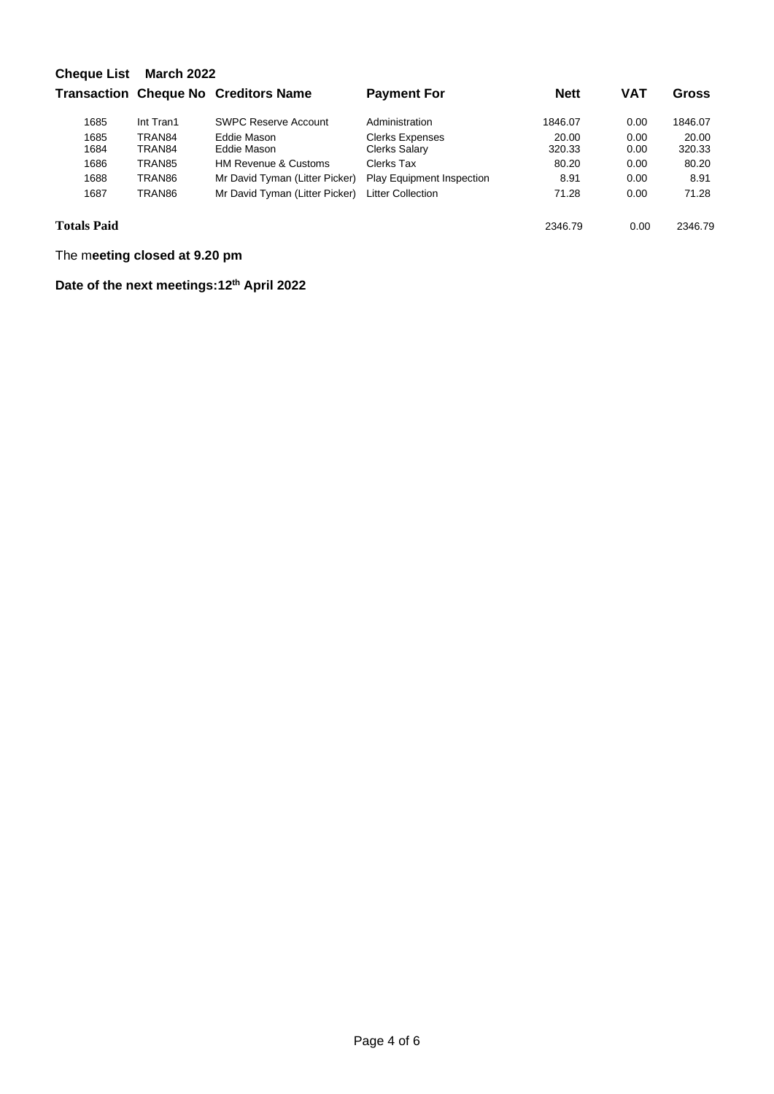| <b>Cheque List</b> | <b>March 2022</b> |                                             |                                  |             |            |              |  |  |  |
|--------------------|-------------------|---------------------------------------------|----------------------------------|-------------|------------|--------------|--|--|--|
|                    |                   | <b>Transaction Cheque No Creditors Name</b> | <b>Payment For</b>               | <b>Nett</b> | <b>VAT</b> | <b>Gross</b> |  |  |  |
| 1685               | Int Tran1         | <b>SWPC Reserve Account</b>                 | Administration                   | 1846.07     | 0.00       | 1846.07      |  |  |  |
| 1685               | TRAN84            | Eddie Mason                                 | <b>Clerks Expenses</b>           | 20.00       | 0.00       | 20.00        |  |  |  |
| 1684               | TRAN84            | Eddie Mason                                 | Clerks Salary                    | 320.33      | 0.00       | 320.33       |  |  |  |
| 1686               | TRAN85            | <b>HM Revenue &amp; Customs</b>             | Clerks Tax                       | 80.20       | 0.00       | 80.20        |  |  |  |
| 1688               | TRAN86            | Mr David Tyman (Litter Picker)              | <b>Play Equipment Inspection</b> | 8.91        | 0.00       | 8.91         |  |  |  |
| 1687               | TRAN86            | Mr David Tyman (Litter Picker)              | Litter Collection                | 71.28       | 0.00       | 71.28        |  |  |  |
| <b>Totals Paid</b> |                   |                                             |                                  | 2346.79     | 0.00       | 2346.79      |  |  |  |

The m**eeting closed at 9.20 pm**

**Date of the next meetings:12 th April 2022**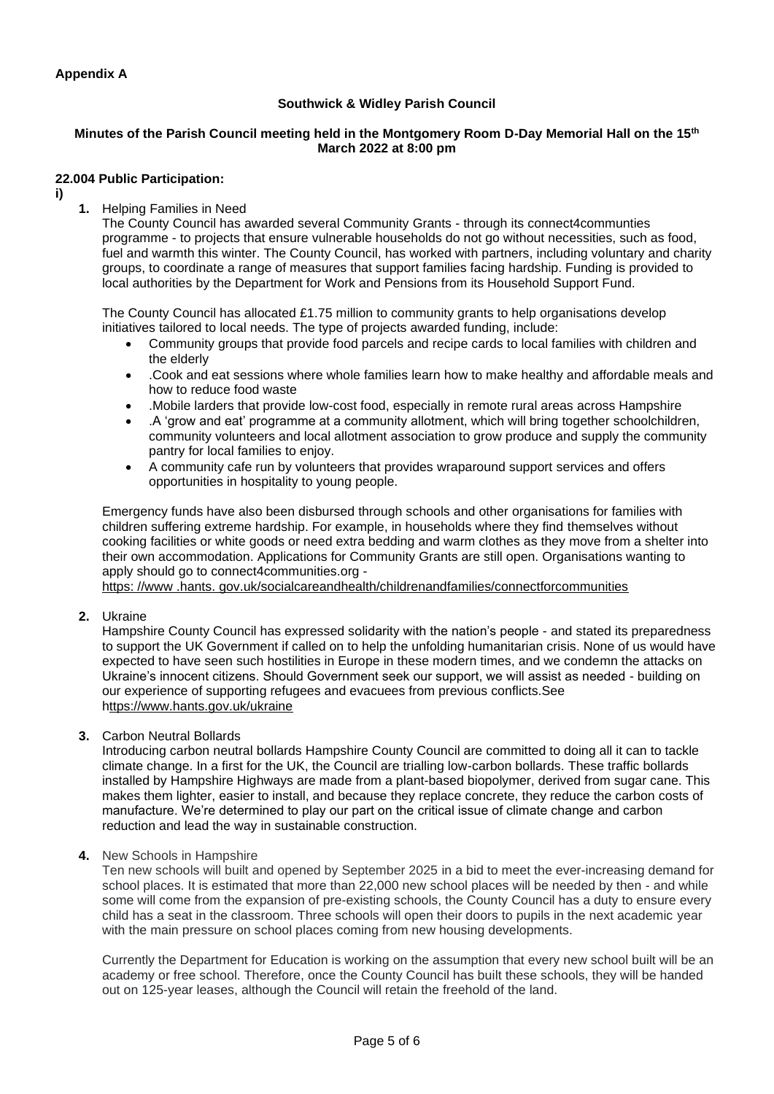# **Southwick & Widley Parish Council**

# **Minutes of the Parish Council meeting held in the Montgomery Room D-Day Memorial Hall on the 15th March 2022 at 8:00 pm**

#### **22.004 Public Participation:**

- **i)**
- **1.** Helping Families in Need

The County Council has awarded several Community Grants - through its connect4communties programme - to projects that ensure vulnerable households do not go without necessities, such as food, fuel and warmth this winter. The County Council, has worked with partners, including voluntary and charity groups, to coordinate a range of measures that support families facing hardship. Funding is provided to local authorities by the Department for Work and Pensions from its Household Support Fund.

The County Council has allocated £1.75 million to community grants to help organisations develop initiatives tailored to local needs. The type of projects awarded funding, include:

- Community groups that provide food parcels and recipe cards to local families with children and the elderly
- .Cook and eat sessions where whole families learn how to make healthy and affordable meals and how to reduce food waste
- .Mobile larders that provide low-cost food, especially in remote rural areas across Hampshire
- .A 'grow and eat' programme at a community allotment, which will bring together schoolchildren, community volunteers and local allotment association to grow produce and supply the community pantry for local families to enjoy.
- A community cafe run by volunteers that provides wraparound support services and offers opportunities in hospitality to young people.

Emergency funds have also been disbursed through schools and other organisations for families with children suffering extreme hardship. For example, in households where they find themselves without cooking facilities or white goods or need extra bedding and warm clothes as they move from a shelter into their own accommodation. Applications for Community Grants are still open. Organisations wanting to apply should go to connect4communities.org -

[https: //www .hants. gov.uk/socialcareandhealth/childrenandfamilies/connectforcommunities](https://www.hants.gov.uk/socialcareandhealth/childrenandfamilies/connectforcommunities)

**2.** Ukraine

Hampshire County Council has expressed solidarity with the nation's people - and stated its preparedness to support the UK Government if called on to help the unfolding humanitarian crisis. None of us would have expected to have seen such hostilities in Europe in these modern times, and we condemn the attacks on Ukraine's innocent citizens. Should Government seek our support, we will assist as needed - building on our experience of supporting refugees and evacuees from previous conflicts.See https://www.hants.gov.uk/ukraine

**3.** Carbon Neutral Bollards

Introducing carbon neutral bollards Hampshire County Council are committed to doing all it can to tackle climate change. In a first for the UK, the Council are trialling low-carbon bollards. These traffic bollards installed by Hampshire Highways are made from a plant-based biopolymer, derived from sugar cane. This makes them lighter, easier to install, and because they replace concrete, they reduce the carbon costs of manufacture. We're determined to play our part on the critical issue of climate change and carbon reduction and lead the way in sustainable construction.

**4.** New Schools in Hampshire

Ten new schools will built and opened by September 2025 in a bid to meet the ever-increasing demand for school places. It is estimated that more than 22,000 new school places will be needed by then - and while some will come from the expansion of pre-existing schools, the County Council has a duty to ensure every child has a seat in the classroom. Three schools will open their doors to pupils in the next academic year with the main pressure on school places coming from new housing developments.

Currently the Department for Education is working on the assumption that every new school built will be an academy or free school. Therefore, once the County Council has built these schools, they will be handed out on 125-year leases, although the Council will retain the freehold of the land.